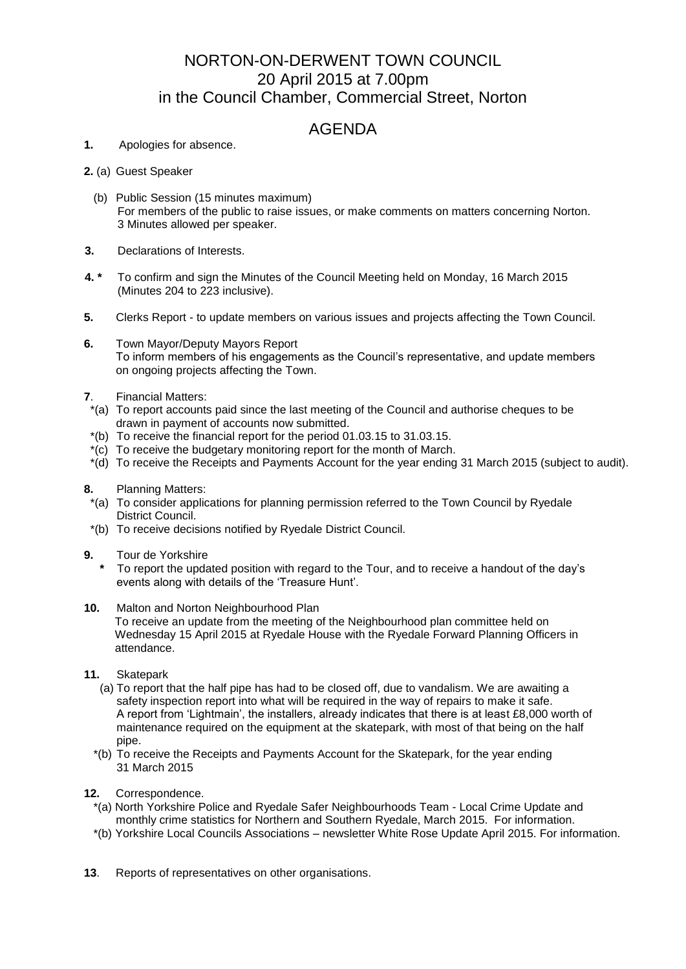## NORTON-ON-DERWENT TOWN COUNCIL 20 April 2015 at 7.00pm in the Council Chamber, Commercial Street, Norton

## AGENDA

- **1.** Apologies for absence.
- **2.** (a) Guest Speaker
	- (b) Public Session (15 minutes maximum) For members of the public to raise issues, or make comments on matters concerning Norton. 3 Minutes allowed per speaker.
- **3.** Declarations of Interests.
- **4. \*** To confirm and sign the Minutes of the Council Meeting held on Monday, 16 March 2015 (Minutes 204 to 223 inclusive).
- **5.** Clerks Report to update members on various issues and projects affecting the Town Council.
- **6.** Town Mayor/Deputy Mayors Report To inform members of his engagements as the Council's representative, and update members on ongoing projects affecting the Town.
- **7**. Financial Matters:
- \*(a) To report accounts paid since the last meeting of the Council and authorise cheques to be drawn in payment of accounts now submitted.
- \*(b) To receive the financial report for the period 01.03.15 to 31.03.15.
- \*(c) To receive the budgetary monitoring report for the month of March.
- \*(d) To receive the Receipts and Payments Account for the year ending 31 March 2015 (subject to audit).
- **8.** Planning Matters:
- \*(a) To consider applications for planning permission referred to the Town Council by Ryedale District Council.
- \*(b) To receive decisions notified by Ryedale District Council.
- **9.** Tour de Yorkshire
	- **\*** To report the updated position with regard to the Tour, and to receive a handout of the day's events along with details of the 'Treasure Hunt'.
- **10.** Malton and Norton Neighbourhood Plan
	- To receive an update from the meeting of the Neighbourhood plan committee held on Wednesday 15 April 2015 at Ryedale House with the Ryedale Forward Planning Officers in attendance.
- **11.** Skatepark
	- (a) To report that the half pipe has had to be closed off, due to vandalism. We are awaiting a safety inspection report into what will be required in the way of repairs to make it safe. A report from 'Lightmain', the installers, already indicates that there is at least £8,000 worth of maintenance required on the equipment at the skatepark, with most of that being on the half pipe.
	- \*(b) To receive the Receipts and Payments Account for the Skatepark, for the year ending 31 March 2015
- **12.** Correspondence.
	- \*(a) North Yorkshire Police and Ryedale Safer Neighbourhoods Team Local Crime Update and monthly crime statistics for Northern and Southern Ryedale, March 2015. For information.
	- \*(b) Yorkshire Local Councils Associations newsletter White Rose Update April 2015. For information.
- **13**. Reports of representatives on other organisations.